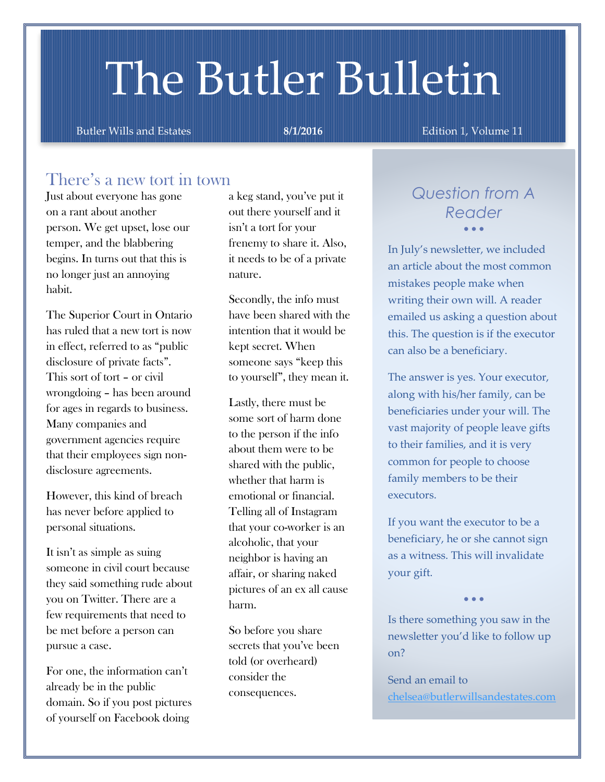# The Butler Bulletin

Butler Wills and Estates **8/1/2016 Butler Wills and Estates 8/1/2016 Edition 1, Volume 11** 

## There's a new tort in town

Just about everyone has gone on a rant about another person. We get upset, lose our temper, and the blabbering begins. In turns out that this is no longer just an annoying habit.

The Superior Court in Ontario has ruled that a new tort is now in effect, referred to as "public disclosure of private facts". This sort of tort – or civil wrongdoing – has been around for ages in regards to business. Many companies and government agencies require that their employees sign nondisclosure agreements.

However, this kind of breach has never before applied to personal situations.

It isn't as simple as suing someone in civil court because they said something rude about you on Twitter. There are a few requirements that need to be met before a person can pursue a case.

For one, the information can't already be in the public domain. So if you post pictures of yourself on Facebook doing

a keg stand, you've put it out there yourself and it isn't a tort for your frenemy to share it. Also, it needs to be of a private nature.

Secondly, the info must have been shared with the intention that it would be kept secret. When someone says "keep this to yourself", they mean it.

Lastly, there must be some sort of harm done to the person if the info about them were to be shared with the public, whether that harm is emotional or financial. Telling all of Instagram that your co-worker is an alcoholic, that your neighbor is having an affair, or sharing naked pictures of an ex all cause harm.

So before you share secrets that you've been told (or overheard) consider the consequences.

## *Question from A Reader*  $\bullet$   $\bullet$   $\bullet$

In July's newsletter, we included an article about the most common mistakes people make when writing their own will. A reader emailed us asking a question about this. The question is if the executor can also be a beneficiary.

The answer is yes. Your executor, along with his/her family, can be beneficiaries under your will. The vast majority of people leave gifts to their families, and it is very common for people to choose family members to be their executors.

If you want the executor to be a beneficiary, he or she cannot sign as a witness. This will invalidate your gift.

 $\bullet$   $\bullet$   $\bullet$ 

Is there something you saw in the newsletter you'd like to follow up on?

Send an email to [chelsea@butlerwillsandestates.com](mailto:chelsea@butlerwillsandestates.com)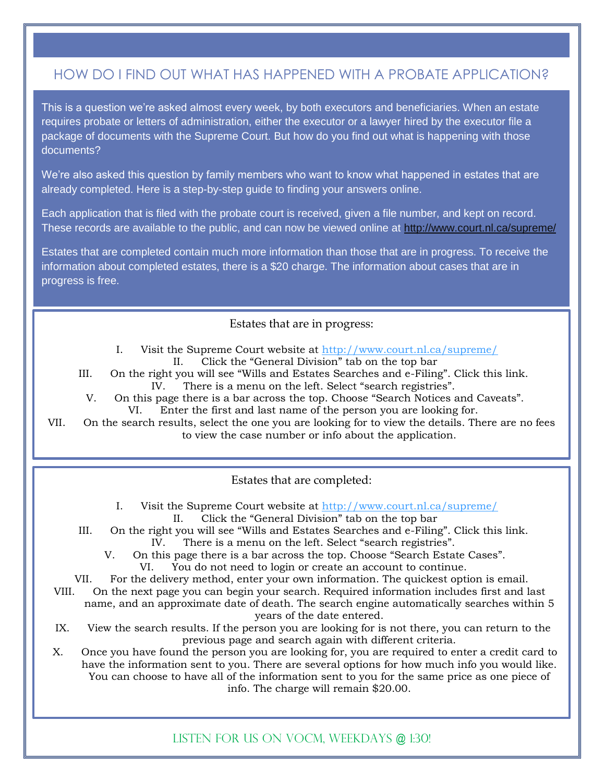## HOW DO I FIND OUT WHAT HAS HAPPENED WITH A PROBATE APPLICATION?

This is a question we're asked almost every week, by both executors and beneficiaries. When an estate requires probate or letters of administration, either the executor or a lawyer hired by the executor file a package of documents with the Supreme Court. But how do you find out what is happening with those documents?

We're also asked this question by family members who want to know what happened in estates that are already completed. Here is a step-by-step guide to finding your answers online.

Each application that is filed with the probate court is received, given a file number, and kept on record. These records are available to the public, and can now be viewed online at<http://www.court.nl.ca/supreme/>

Estates that are completed contain much more information than those that are in progress. To receive the information about completed estates, there is a \$20 charge. The information about cases that are in progress is free.

#### Estates that are in progress:

- I. Visit the Supreme Court website at<http://www.court.nl.ca/supreme/> II. Click the "General Division" tab on the top bar
- III. On the right you will see "Wills and Estates Searches and e-Filing". Click this link. IV. There is a menu on the left. Select "search registries".
- V. On this page there is a bar across the top. Choose "Search Notices and Caveats". VI. Enter the first and last name of the person you are looking for.

VII. On the search results, select the one you are looking for to view the details. There are no fees to view the case number or info about the application.

Estates that are completed:

I. Visit the Supreme Court website at<http://www.court.nl.ca/supreme/> II. Click the "General Division" tab on the top bar

- III. On the right you will see "Wills and Estates Searches and e-Filing". Click this link.
	- IV. There is a menu on the left. Select "search registries".
	- V. On this page there is a bar across the top. Choose "Search Estate Cases". VI. You do not need to login or create an account to continue.

VII. For the delivery method, enter your own information. The quickest option is email.

- VIII. On the next page you can begin your search. Required information includes first and last name, and an approximate date of death. The search engine automatically searches within 5 years of the date entered.
- IX. View the search results. If the person you are looking for is not there, you can return to the previous page and search again with different criteria.

X. Once you have found the person you are looking for, you are required to enter a credit card to have the information sent to you. There are several options for how much info you would like. You can choose to have all of the information sent to you for the same price as one piece of info. The charge will remain \$20.00.

Listen for us on vocm, weekdays @ 1:30!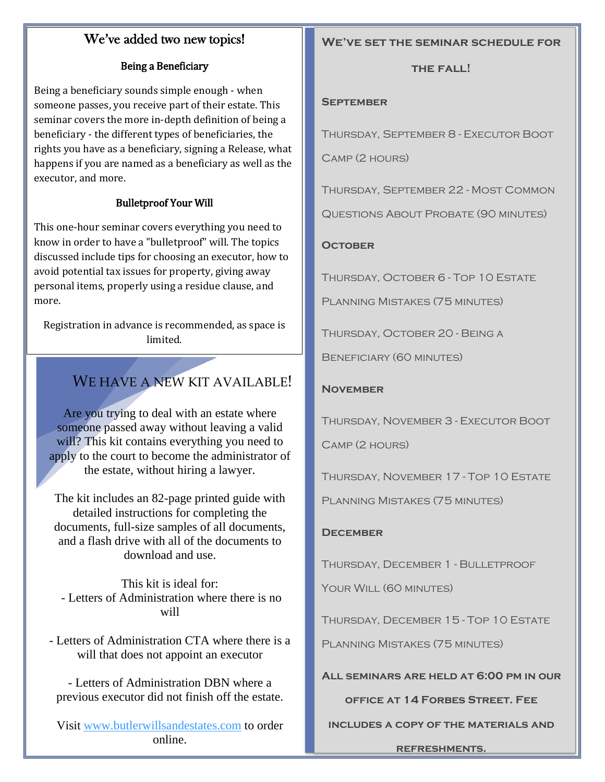### We've added two new topics!

#### Being a Beneficiary

Being a beneficiary sounds simple enough - when someone passes, you receive part of their estate. This seminar covers the more in-depth definition of being a beneficiary - the different types of beneficiaries, the rights you have as a beneficiary, signing a Release, what happens if you are named as a beneficiary as well as the executor, and more.

#### Bulletproof Your Will

This one-hour seminar covers everything you need to know in order to have a "bulletproof" will. The topics discussed include tips for choosing an executor, how to avoid potential tax issues for property, giving away personal items, properly using a residue clause, and more.

Registration in advance is recommended, as space is limited.

## WE HAVE A NEW KIT AVAILABLE!

Are you trying to deal with an estate where someone passed away without leaving a valid will? This kit contains everything you need to apply to the court to become the administrator of the estate, without hiring a lawyer.

The kit includes an 82-page printed guide with detailed instructions for completing the documents, full-size samples of all documents, and a flash drive with all of the documents to download and use.

This kit is ideal for: - Letters of Administration where there is no will

- Letters of Administration CTA where there is a will that does not appoint an executor

- Letters of Administration DBN where a previous executor did not finish off the estate.

Visit [www.butlerwillsandestates.com](http://www.butlerwillsandestates.com/) to order online.

#### **We've set the seminar schedule for**

#### **the fall!**

#### **September**

Thursday, September 8 - Executor Boot

Camp (2 hours)

Thursday, September 22 - Most Common

Questions About Probate (90 minutes)

#### **October**

Thursday, October 6 - Top 10 Estate

Planning Mistakes (75 minutes)

Thursday, October 20 - Being a

Beneficiary (60 minutes)

#### **November**

Thursday, November 3 - Executor Boot

Camp (2 hours)

Thursday, November 17 - Top 10 Estate

Planning Mistakes (75 minutes)

#### **December**

THURSDAY, DECEMBER 1 - BULLETPROOF

YOUR WILL (60 MINUTES)

Thursday, December 15 - Top 10 Estate

Planning Mistakes (75 minutes)

**All seminars are held at 6:00 pm in our** 

#### **office at 14 Forbes Street. Fee**

**includes a copy of the materials and** 

**refreshments.**